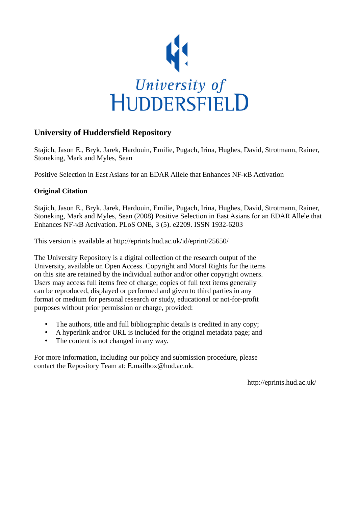

## **University of Huddersfield Repository**

Stajich, Jason E., Bryk, Jarek, Hardouin, Emilie, Pugach, Irina, Hughes, David, Strotmann, Rainer, Stoneking, Mark and Myles, Sean

Positive Selection in East Asians for an EDAR Allele that Enhances NF-κB Activation

## **Original Citation**

Stajich, Jason E., Bryk, Jarek, Hardouin, Emilie, Pugach, Irina, Hughes, David, Strotmann, Rainer, Stoneking, Mark and Myles, Sean (2008) Positive Selection in East Asians for an EDAR Allele that Enhances NF-κB Activation. PLoS ONE, 3 (5). e2209. ISSN 1932-6203

This version is available at http://eprints.hud.ac.uk/id/eprint/25650/

The University Repository is a digital collection of the research output of the University, available on Open Access. Copyright and Moral Rights for the items on this site are retained by the individual author and/or other copyright owners. Users may access full items free of charge; copies of full text items generally can be reproduced, displayed or performed and given to third parties in any format or medium for personal research or study, educational or not-for-profit purposes without prior permission or charge, provided:

- The authors, title and full bibliographic details is credited in any copy;
- A hyperlink and/or URL is included for the original metadata page; and
- The content is not changed in any way.

For more information, including our policy and submission procedure, please contact the Repository Team at: E.mailbox@hud.ac.uk.

http://eprints.hud.ac.uk/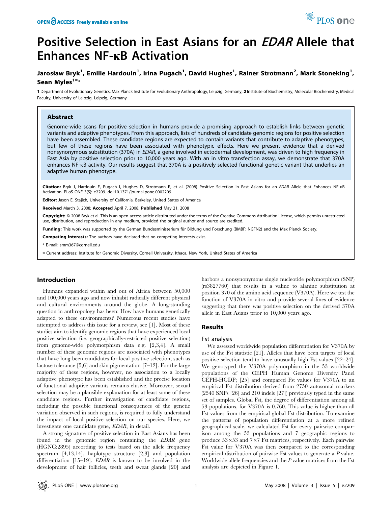# Positive Selection in East Asians for an EDAR Allele that Enhances NF-kB Activation

### Jarosław Bryk<sup>1</sup>, Emilie Hardouin<sup>1</sup>, Irina Pugach<sup>1</sup>, David Hughes<sup>1</sup>, Rainer Strotmann<sup>2</sup>, Mark Stoneking<sup>1</sup>, Sean Myles<sup>1¤</sup>\*

1 Department of Evolutionary Genetics, Max Planck Institute for Evolutionary Anthropology, Leipzig, Germany, 2 Institute of Biochemistry, Molecular Biochemistry, Medical Faculty, University of Leipzig, Leipzig, Germany

#### Abstract

Genome-wide scans for positive selection in humans provide a promising approach to establish links between genetic variants and adaptive phenotypes. From this approach, lists of hundreds of candidate genomic regions for positive selection have been assembled. These candidate regions are expected to contain variants that contribute to adaptive phenotypes, but few of these regions have been associated with phenotypic effects. Here we present evidence that a derived nonsynonymous substitution (370A) in EDAR, a gene involved in ectodermal development, was driven to high frequency in East Asia by positive selection prior to 10,000 years ago. With an in vitro transfection assay, we demonstrate that 370A enhances NF-kB activity. Our results suggest that 370A is a positively selected functional genetic variant that underlies an adaptive human phenotype.

Citation: Bryk J, Hardouin E, Pugach I, Hughes D, Strotmann R, et al. (2008) Positive Selection in East Asians for an EDAR Allele that Enhances NF-KB Activation. PLoS ONE 3(5): e2209. doi:10.1371/journal.pone.0002209

Editor: Jason E. Stajich, University of California, Berkeley, United States of America

Received March 3, 2008; Accepted April 7, 2008; Published May 21, 2008

Copyright: @ 2008 Bryk et al. This is an open-access article distributed under the terms of the Creative Commons Attribution License, which permits unrestricted use, distribution, and reproduction in any medium, provided the original author and source are credited.

Funding: This work was supported by the German Bundesministerium für Bildung und Forschung (BMBF: NGFN2) and the Max Planck Society.

Competing Interests: The authors have declared that no competing interests exist.

\* E-mail: smm367@cornell.edu

¤ Current address: Institute for Genomic Diversity, Cornell University, Ithaca, New York, United States of America

#### Introduction

Humans expanded within and out of Africa between 50,000 and 100,000 years ago and now inhabit radically different physical and cultural environments around the globe. A long-standing question in anthropology has been: How have humans genetically adapted to these environments? Numerous recent studies have attempted to address this issue for a review, see [1]. Most of these studies aim to identify genomic regions that have experienced local positive selection (i.e. geographically-restricted positive selection) from genome-wide polymorphism data e.g. [2,3,4]. A small number of these genomic regions are associated with phenotypes that have long been candidates for local positive selection, such as lactose tolerance [5,6] and skin pigmentation [7–12]. For the large majority of these regions, however, no association to a locally adaptive phenotype has been established and the precise location of functional adaptive variants remains elusive. Moreover, sexual selection may be a plausible explanation for at least some of these candidate regions. Further investigation of candidate regions, including the possible functional consequences of the genetic variation observed in such regions, is required to fully understand the impact of local positive selection on our species. Here, we investigate one candidate gene, EDAR, in detail.

A strong signature of positive selection in East Asians has been found in the genomic region containing the EDAR gene (HGNC:2895) according to tests based on the allele frequency spectrum [4,13,14], haplotype structure [2,3] and population differentiation [15–19]. *EDAR* is known to be involved in the development of hair follicles, teeth and sweat glands [20] and harbors a nonsynonymous single nucleotide polymorphism (SNP) (rs3827760) that results in a valine to alanine substitution at position 370 of the amino acid sequence (V370A). Here we test the function of V370A in vitro and provide several lines of evidence suggesting that there was positive selection on the derived 370A allele in East Asians prior to 10,000 years ago.

#### Results

#### Fst analysis

We assessed worldwide population differentiation for V370A by use of the Fst statistic [21]. Alleles that have been targets of local positive selection tend to have unusually high Fst values [22–24]. We genotyped the V370A polymorphism in the 53 worldwide populations of the CEPH Human Genome Diversity Panel CEPH-HGDP; [25] and compared Fst values for V370A to an empirical Fst distribution derived from 2750 autosomal markers (2540 SNPs [26] and 210 indels [27]) previously typed in the same set of samples. Global Fst, the degree of differentiation among all 53 populations, for V370A is 0.760. This value is higher than all Fst values from the empirical global Fst distribution. To examine the patterns of population differentiation at a more refined geographical scale, we calculated Fst for every pairwise comparison among the 53 populations and 7 geographic regions to produce  $53\times53$  and  $7\times7$  Fst matrices, respectively. Each pairwise Fst value for V370A was then compared to the corresponding empirical distribution of pairwise Fst values to generate a P value. Worldwide allele frequencies and the P value matrices from the Fst analysis are depicted in Figure 1.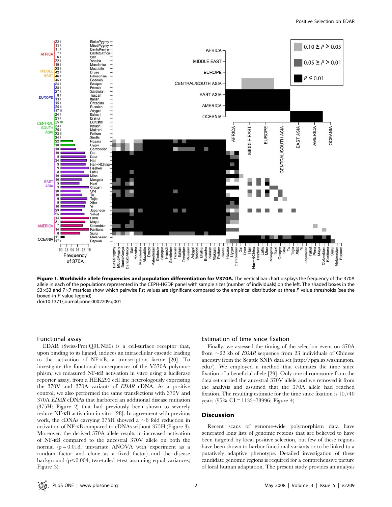

Figure 1. Worldwide allele frequencies and population differentiation for V370A. The vertical bar chart displays the frequency of the 370A allele in each of the populations represented in the CEPH-HGDP panel with sample sizes (number of individuals) on the left. The shaded boxes in the 53 $\times$ 53 and 7 $\times$ 7 matrices show which pairwise Fst values are significant compared to the empirical distribution at three P value thresholds (see the boxed-in P value legend). doi:10.1371/journal.pone.0002209.g001

#### Functional assay

EDAR (Swiss-Prot:Q9UNE0) is a cell-surface receptor that, upon binding to its ligand, induces an intracellular cascade leading to the activation of NF-kB, a transcription factor [20]. To investigate the functional consequences of the V370A polymorphism, we measured NF-kB activation in vitro using a luciferase reporter assay, from a HEK293 cell line heterologously expressing the 370V and 370A variants of EDAR cDNA. As a positive control, we also performed the same transfections with 370V and 370A EDAR cDNAs that harbored an additional disease mutation (375H; Figure 2) that had previously been shown to severely reduce NF-kB activation in vitro [28]. In agreement with previous work, the cDNAs carrying 375H showed a  $\sim$ 6 fold reduction in activation of NF-kB compared to cDNAs without 375H (Figure 3). Moreover, the derived 370A allele results in increased activation of NF-kB compared to the ancestral 370V allele on both the normal  $(p = 0.018$ , univariate ANOVA with experiment as a random factor and clone as a fixed factor) and the disease background  $(p<0.004$ , two-tailed t-test assuming equal variances; Figure 3).

#### Estimation of time since fixation

Finally, we assessed the timing of the selection event on 370A from  $\sim$  22 kb of *EDAR* sequence from 23 individuals of Chinese ancestry from the Seattle SNPs data set (http://pga.gs.washington. edu/). We employed a method that estimates the time since fixation of a beneficial allele [29]. Only one chromosome from the data set carried the ancestral 370V allele and we removed it from the analysis and assumed that the 370A allele had reached fixation. The resulting estimate for the time since fixation is 10,740 years (95% CI = 1133–73996; Figure 4).

#### Discussion

Recent scans of genome-wide polymorphism data have generated long lists of genomic regions that are believed to have been targeted by local positive selection, but few of these regions have been shown to harbor functional variants or to be linked to a putatively adaptive phenotype. Detailed investigation of these candidate genomic regions is required for a comprehensive picture of local human adaptation. The present study provides an analysis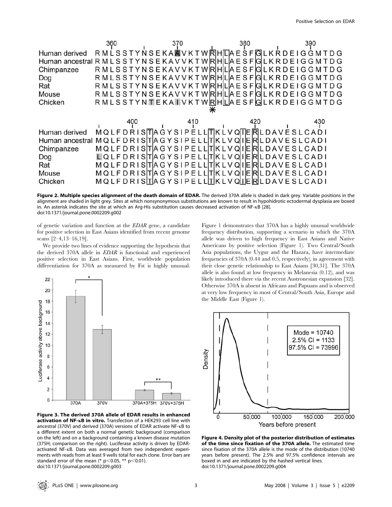|               | 360 | 370               | 380                                                                       | 390                                                                                      |
|---------------|-----|-------------------|---------------------------------------------------------------------------|------------------------------------------------------------------------------------------|
| Human derived |     |                   |                                                                           | RMLSSTYNSEKAAVKTWRHILAESFGLKRDEIGGMTDG                                                   |
|               |     |                   |                                                                           | Human ancestral R M L S S T Y N S E K A V V K T W R HILIA E S F GL K R D E I G G M T D G |
| Chimpanzee    |     |                   |                                                                           | RMLSSTYNSEKAVVKTWRHILLAESFIGILKRDEIGGMTDG                                                |
| Dog           |     |                   |                                                                           | RMLSSTYNSEKAVVKTWRHILIAESFIGILKRDEI GGMTDG                                               |
| Rat           |     |                   |                                                                           | RMLSSTYNSEKAVVKTWRHILIAESFIGILKRDEI GGMTDG                                               |
| Mouse         |     |                   |                                                                           | R M L S S T Y N S E K A V V K T W IRIHILIA E S F IGI L K R D E I G G M T D G             |
| Chicken       |     |                   |                                                                           | R M L S S T Y N T E K A T V K T W R H L A E S F G L K R D E I G G M T D G                |
|               |     |                   |                                                                           |                                                                                          |
|               | 400 | 410               | 420                                                                       | 430                                                                                      |
| Human derived |     |                   | <b>MQLFDRISTAGYSIPELLITKLVQITERLDAVESLCADI</b>                            |                                                                                          |
|               |     |                   | Human ancestral MQLFDRISITIAGYSIPELLITIKLVQIIERLDAVESLCADI                |                                                                                          |
| Chimpanzee    |     |                   | MQLFDRISITIA GYSIPE LLITIK LV QIIERILDAVE SLCADI                          |                                                                                          |
| Dog           |     |                   | LQ L F D R I SITIA G Y S I P E L LITIK L V QI I E RIL D A V E S L C A D I |                                                                                          |
| Rat           |     |                   | MQLFDRISITIA GYSIPE LLITIK LV QIIERILDAVE SLCADI                          |                                                                                          |
| Mouse         |     |                   | MQLFDRISITIA GYSIPE LLITIK LV QIIERILDAVE SLCADI                          |                                                                                          |
| Chicken       |     | MQLFDRISTAGYSIPEL |                                                                           | <b>RILDAVESLCADI</b>                                                                     |

Figure 2. Multiple species alignment of the death domain of EDAR. The derived 370A allele is shaded in dark grey. Variable positions in the alignment are shaded in light grey. Sites at which nonsynonymous substitutions are known to result in hypohidrotic ectodermal dysplasia are boxed in. An asterisk indicates the site at which an Arg-His substitution causes decreased activation of NF-kB [28]. doi:10.1371/journal.pone.0002209.g002

of genetic variation and function at the EDAR gene, a candidate for positive selection in East Asians identified from recent genome scans [2–4,13–16,19].

We provide two lines of evidence supporting the hypothesis that the derived 370A allele in EDAR is functional and experienced positive selection in East Asians. First, worldwide population differentiation for 370A as measured by Fst is highly unusual.



Figure 3. The derived 370A allele of EDAR results in enhanced activation of NF-KB in vitro. Transfection of a HEK293 cell line with ancestral (370V) and derived (370A) versions of EDAR activate NF-kB to a different extent on both a normal genetic background (comparison on the left) and on a background containing a known disease mutation (375H; comparison on the right). Luciferase activity is driven by EDARactivated NF-kB. Data was averaged from two independent experiments with reads from at least 9 wells total for each clone. Error bars are standard error of the mean (\*  $p$ <0.05, \*\*  $p$ <0.01). doi:10.1371/journal.pone.0002209.g003

Figure 1 demonstrates that 370A has a highly unusual worldwide frequency distribution, supporting a scenario in which the 370A allele was driven to high frequency in East Asians and Native Americans by positive selection (Figure 1). Two Central/South Asia populations, the Uygur and the Hazara, have intermediate frequencies of 370A (0.44 and 0.5, respectively), in agreement with their close genetic relationship to East Asians [30,31]. The 370A allele is also found at low frequency in Melanesia (0.12), and was likely introduced there via the recent Austronesian expansion [32]. Otherwise 370A is absent in Africans and Papuans and is observed at very low frequency in most of Central/South Asia, Europe and the Middle East (Figure 1).



Figure 4. Density plot of the posterior distribution of estimates of the time since fixation of the 370A allele. The estimated time since fixation of the 370A allele is the mode of the distribution (10740 years before present). The 2.5% and 97.5% confidence intervals are boxed in and are indicated by the hashed vertical lines. doi:10.1371/journal.pone.0002209.g004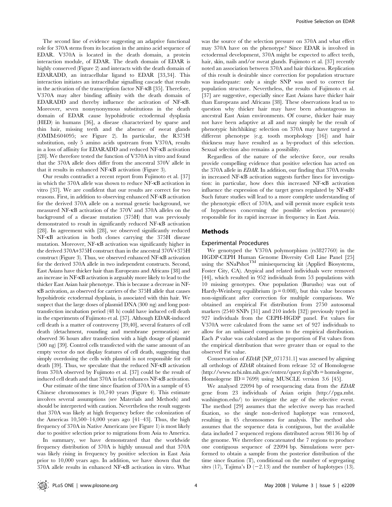The second line of evidence suggesting an adaptive functional role for 370A stems from its location in the amino acid sequence of EDAR. V370A is located in the death domain, a protein interaction module, of EDAR. The death domain of EDAR is highly conserved (Figure 2) and interacts with the death domain of EDARADD, an intracellular ligand to EDAR [33,34]. This interaction initiates an intracellular signalling cascade that results in the activation of the transcription factor NF-kB [35]. Therefore, V370A may alter binding affinity with the death domain of EDARADD and thereby influence the activation of NF-kB. Moreover, seven nonsynonymous substitutions in the death domain of EDAR cause hypohidrotic ectodermal dysplasia (HED) in humans [36], a disease characterized by sparse and thin hair, missing teeth and the absence of sweat glands (OMIM:604095; see Figure 2). In particular, the R375H substitution, only 5 amino acids upstream from V370A, results in a loss of affinity for EDARADD and reduced NF-kB activation [28]. We therefore tested the function of V370A in vitro and found that the 370A allele does differ from the ancestral 370V allele in that it results in enhanced NF-kB activation (Figure 3).

Our results contradict a recent report from Fujimoto et al. [37] in which the 370A allele was shown to reduce NF-kB activation in vitro [37]. We are confident that our results are correct for two reasons. First, in addition to observing enhanced NF-kB activation for the derived 370A allele on a normal genetic background, we measured NF-kB activation of the 370V and 370A alleles on the background of a disease mutation (375H) that was previously demonstrated to result in significantly reduced NF-kB activation [28]. In agreement with [28], we observed significantly reduced NF-kB activation in both clones carrying the 375H disease mutation. Moreover, NF-kB activation was significantly higher in the derived 370A+375H construct than in the ancestral 370V+375H construct (Figure 3). Thus, we observed enhanced NF-kB activation for the derived 370A allele in two independent constructs. Second, East Asians have thicker hair than Europeans and Africans [38] and an increase in NF-kB activation is arguably more likely to lead to the thicker East Asian hair phenotype. This is because a decrease in NFkB activation, as observed for carriers of the 375H allele that causes hypohidrotic ectodermal dysplasia, is associated with thin hair. We suspect that the large doses of plasmid DNA (300 ng) and long posttransfection incubation period (48 h) could have induced cell death in the experiments of Fujimoto et al. [37]. Although EDAR-induced cell death is a matter of controversy [39,40], several features of cell death (detachment, rounding and membrane permeation) are observed 36 hours after transfection with a high dosage of plasmid (500 ng) [39]. Control cells transfected with the same amount of an empty vector do not display features of cell death, suggesting that simply overdosing the cells with plasmid is not responsible for cell death [39]. Thus, we speculate that the reduced NF-kB activation from 370A observed by Fujimoto et al. [37] could be the result of induced cell death and that 370A in fact enhances NF-kB activation.

Our estimate of the time since fixation of 370A in a sample of 45 Chinese chromosomes is 10,740 years (Figure 4). This estimate involves several assumptions (see Materials and Methods) and should be interpreted with caution. Nevertheless the result suggests that 370A was likely at high frequency before the colonization of the Americas 10,500–14,000 years ago [41–43]. Thus, the high frequency of 370A in Native Americans (see Figure 1) is most likely due to positive selection prior to migrations from Asia to America.

In summary, we have demonstrated that the worldwide frequency distribution of 370A is highly unusual and that 370A was likely rising in frequency by positive selection in East Asia prior to 10,000 years ago. In addition, we have shown that the 370A allele results in enhanced NF-kB activation in vitro. What

was the source of the selection pressure on 370A and what effect may 370A have on the phenotype? Since EDAR is involved in ectodermal development, 370A might be expected to affect teeth, hair, skin, nails and/or sweat glands. Fujimoto et al. [37] recently noted an association between 370A and hair thickness. Replication of this result is desirable since correction for population structure was inadequate: only a single SNP was used to correct for population structure. Nevertheless, the results of Fujimoto et al. [37] are suggestive, especially since East Asians have thicker hair than Europeans and Africans [38]. These observations lead us to question why thicker hair may have been advantageous in ancestral East Asian environments. Of course, thicker hair may not have been adaptive at all and may simply be the result of phenotypic hitchhiking: selection on 370A may have targeted a different phenotype (e.g. tooth morphology [16]) and hair thickness may have resulted as a by-product of this selection. Sexual selection also remains a possibility.

Regardless of the nature of the selective force, our results provide compelling evidence that positive selection has acted on the 370A allele in EDAR. In addition, our finding that 370A results in increased NF-kB activation suggests further lines for investigation: in particular, how does this increased NF-kB activation influence the expression of the target genes regulated by NF-kB? Such future studies will lead to a more complete understanding of the phenotypic effect of 370A, and will permit more explicit tests of hypotheses concerning the possible selection pressure(s) responsible for its rapid increase in frequency in East Asia.

#### Methods

#### Experimental Procedures

We genotyped the V370A polymorphism (rs3827760) in the HGDP-CEPH Human Genome Diversity Cell Line Panel [25] using the SNaPshot<sup>TM</sup> minisequencing kit (Applied Biosystems, Foster City, CA). Atypical and related individuals were removed [44], which resulted in 952 individuals from 53 populations with 10 missing genotypes. One population (Burusho) was out of Hardy-Weinberg equilibrium ( $p = 0.008$ ), but this value becomes non-significant after correction for multiple comparisons. We obtained an empirical Fst distribution from 2750 autosomal markers (2540 SNPs [31] and 210 indels [32]) previously typed in 927 individuals from the CEPH-HGDP panel. Fst values for V370A were calculated from the same set of 927 individuals to allow for an unbiased comparison to the empirical distribution. Each P value was calculated as the proportion of Fst values from the empirical distribution that were greater than or equal to the observed Fst value.

Conservation of EDAR [NP\_071731.1] was assessed by aligning all orthologs of EDAR obtained from release 52 of Homologene (http://www.ncbi.nlm.nih.gov/entrez/query.fcgi?db = homologene, Homologene ID = 7699) using MUSCLE version 3.6 [45].

We analysed 22094 bp of resequencing data from the EDAR gene from 23 individuals of Asian origin (http://pga.mbt. washington.edu/) to investigate the age of the selective event. The method [29] assumes that the selective sweep has reached fixation, so the single non-derived haplotype was removed, resulting in 45 chromosomes for analysis. The method also assumes that the sequence data is contiguous, but the available data included 7 sequenced regions distributed across 98136 bp of the genome. We therefore concatenated the 7 regions to produce one contiguous sequence of 22094 bp. Simulations were performed to obtain a sample from the posterior distribution of the time since fixation (T), conditional on the number of segregating sites (17), Tajima's  $D$  (-2.13) and the number of haplotypes (13).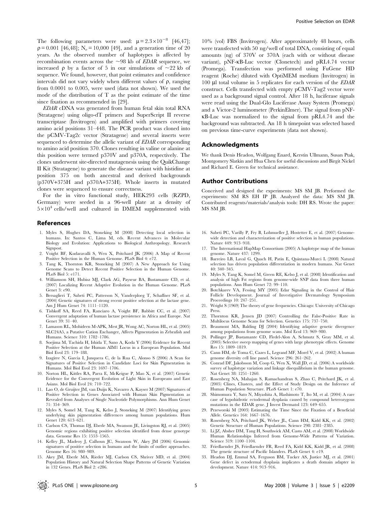The following parameters were used:  $\mu = 2.3 \times 10^{-8}$  [46,47];  $p = 0.001$  [46,48]; N<sub>e</sub> = 10,000 [49], and a generation time of 20 years. As the observed number of haplotypes is affected by recombination events across the  $\sim$ 98 kb of *EDAR* sequence, we increased  $\rho$  by a factor of 5 in our simulations of  $\sim$ 22 kb of sequence. We found, however, that point estimates and confidence intervals did not vary widely when different values of  $\rho$ , ranging from 0.0001 to 0.005, were used (data not shown). We used the mode of the distribution of T as the point estimate of the time since fixation as recommended in [29].

EDAR cDNA was generated from human fetal skin total RNA (Stratagene) using oligo-dT primers and SuperScript II reverse transcriptase (Invitrogen) and amplified with primers covering amino acid positions 31–448. The PCR product was cloned into the pCMV-Tag2c vector (Stratagene) and several inserts were sequenced to determine the allelic variant of **EDAR** corresponding to amino acid position 370. Clones resulting in valine or alanine at this position were termed p370V and p370A, respectively. The clones underwent site-directed mutagenesis using the QuikChange II Kit (Stratagene) to generate the disease variant with histidine at position 375 on both ancestral and derived backgrounds (p370V+375H and p370A+375H). Whole inserts in mutated clones were sequenced to ensure correctness.

For the in vitro functional study, HEK293 cells (RZPD, Germany) were seeded in a 96-well plate at a density of  $5\times10^4$  cells/well and cultured in DMEM supplemented with

#### References

- 1. Myles S, Hughes DA, Stoneking M (2008) Detecting local selection in humans. In: Santos C, Lima M, eds. Recent Advances in Molecular Biology and Evolution: Applications to Biological Anthropology. Research **Signpost**
- 2. Voight BF, Kudaravalli S, Wen X, Pritchard JK (2006) A Map of Recent Positive Selection in the Human Genome. PLoS Biol 4: e72.
- 3. Tang K, Thornton KR, Stoneking M (2007) A New Approach for Using Genome Scans to Detect Recent Positive Selection in the Human Genome. PLoS Biol 5: e171.
- 4. Williamson SH, Hubisz MJ, Clark AG, Payseur BA, Bustamante CD, et al. (2007) Localizing Recent Adaptive Evolution in the Human Genome. PLoS Genet 3: e90.
- 5. Bersaglieri T, Sabeti PC, Patterson N, Vanderploeg T, Schaffner SF, et al. (2004) Genetic signatures of strong recent positive selection at the lactase gene. Am J Hum Genet 74: 1111–1120.
- 6. Tishkoff SA, Reed FA, Ranciaro A, Voight BF, Babbitt CC, et al. (2007) Convergent adaptation of human lactase persistence in Africa and Europe. Nat Genet 39: 31–40.
- 7. Lamason RL, Mohideen M-APK, Mest JR, Wong AC, Norton HL, et al. (2005) SLC24A5, a Putative Cation Exchanger, Affects Pigmentation in Zebrafish and Humans. Science 310: 1782–1786.
- 8. Soejima M, Tachida H, Ishida T, Sano A, Koda Y (2006) Evidence for Recent Positive Selection at the Human AIM1 Locus in a European Population. Mol Biol Evol 23: 179–188.
- 9. Izagirre N, Garcia I, Junquera C, de la Rua C, Alonso S (2006) A Scan for Signatures of Positive Selection in Candidate Loci for Skin Pigmentation in Humans. Mol Biol Evol 23: 1697–1706.
- 10. Norton HL, Kittles RA, Parra E, McKeigue P, Mao X, et al. (2007) Genetic Evidence for the Convergent Evolution of Light Skin in Europeans and East Asians. Mol Biol Evol 24: 710–722.
- 11. Lao O, de Gruijter JM, van Duijn K, Navarro A, Kayser M (2007) Signatures of Positive Selection in Genes Associated with Human Skin Pigmentation as Revealed from Analyses of Single Nucleotide Polymorphisms. Ann Hum Genet 71: 354–369.
- 12. Myles S, Somel M, Tang K, Kelso J, Stoneking M (2007) Identifying genes underlying skin pigmentation differences among human populations. Hum Genet 120: 613–621.
- 13. Carlson CS, Thomas DJ, Eberle MA, Swanson JE, Livingston RJ, et al. (2005) Genomic regions exhibiting positive selection identified from dense genotype data. Genome Res 15: 1553–1565.
- 14. Kelley JL, Madeoy J, Calhoun JC, Swanson W, Akey JM (2006) Genomic signatures of positive selection in humans and the limits of outlier approaches. Genome Res 16: 980–989.
- 15. Akey JM, Eberle MA, Rieder MJ, Carlson CS, Shriver MD, et al. (2004) Population History and Natural Selection Shape Patterns of Genetic Variation in 132 Genes. PLoS Biol 2: e286.

10% (vol) FBS (Invitrogen). After approximately 48 hours, cells were transfected with 50 ng/well of total DNA, consisting of equal amounts (ng) of 370V or 370A (each with or without disease variant), pNF-kB-Luc vector (Clonetech) and pRL4.74 vector (Promega). Transfection was performed using FuGene HD reagent (Roche) diluted with OptiMEM medium (Invitrogen) in 100 ml total volume in 5 replicates for each version of the EDAR construct. Cells transfected with empty pCMV-Tag2 vector were used as a background signal control. After 18 h, luciferase signals were read using the Dual-Glo Luciferase Assay System (Promega) and a Victor-2 luminometer (PerkinElmer). The signal from pNFkB-Luc was normalized to the signal from pRL4.74 and the background was subtracted. An 18 h timepoint was selected based on previous time-curve experiments (data not shown).

#### Acknowledgments

We thank Denis Headon, Wolfgang Enard, Kerstin Ullmann, Susan Ptak, Montgomery Slatkin and Hua Chen for useful discussions and Birgit Nickel and Richard E. Green for technical assistance.

#### Author Contributions

Conceived and designed the experiments: MS SM JB. Performed the experiments: SM RS EH IP JB. Analyzed the data: MS SM JB. Contributed reagents/materials/analysis tools: DH RS. Wrote the paper: MS SM JB.

- 16. Sabeti PC, Varilly P, Fry B, Lohmueller J, Hostetter E, et al. (2007) Genomewide detection and characterization of positive selection in human populations. Nature 449: 913–918.
- 17. The International HapMap Consortium (2005) A haplotype map of the human genome. Nature 437: 1299.
- 18. Barreiro LB, Laval G, Quach H, Patin E, Quintana-Murci L (2008) Natural selection has driven population differentiation in modern humans. Nat Genet 40: 340–345.
- 19. Myles S, Tang K, Somel M, Green RE, Kelso J, et al. (2008) Identification and analysis of high Fst regions from genome-wide SNP data from three human populations. Ann Hum Genet 72: 99-110.
- 20. Botchkarev VA, Fessing MY (2005) Edar Signaling in the Control of Hair Follicle Development. Journal of Investigative Dermatology Symposium Proceedings 10: 247–251.
- 21. Wright S (1969) The theory of gene frequencies. Chicago: University of Chicago Press.
- 22. Thornton KR, Jensen JD (2007) Controlling the False-Positive Rate in Multilocus Genome Scans for Selection. Genetics 175: 737–750.
- 23. Beaumont MA, Balding DJ (2004) Identifying adaptive genetic divergence among populations from genome scans. Mol Ecol 13: 969–980.
- 24. Pollinger JP, Bustamante CD, Fledel-Alon A, Schmutz S, Gray MM, et al. (2005) Selective sweep mapping of genes with large phenotypic effects. Genome Res 15: 1809–1819.
- 25. Cann HM, de Toma C, Cazes L, Legrand MF, Morel V, et al. (2002) A human genome diversity cell line panel. Science 296: 261–262.
- 26. Conrad DF, Jakobsson M, Coop G, Wen X, Wall JD, et al. (2006) A worldwide survey of haplotype variation and linkage disequilibrium in the human genome. Nat Genet 38: 1251–1260.
- 27. Rosenberg NA, Mahajan S, Ramachandran S, Zhao C, Pritchard JK, et al. (2005) Clines, Clusters, and the Effect of Study Design on the Inference of Human Population Structure. PLoS Genet 1: e70.
- 28. Shimomura Y, Sato N, Miyashita A, Hashimoto T, Ito M, et al. (2004) A rare case of hypohidrotic ectodermal dysplasia caused by compound heterozygous mutations in the EDAR gene. J Invest Dermatol 123: 649–655.
- 29. Przeworski M (2003) Estimating the Time Since the Fixation of a Beneficial Allele. Genetics 164: 1667–1676.
- 30. Rosenberg NA, Pritchard JK, Weber JL, Cann HM, Kidd KK, et al. (2002) Genetic Structure of Human Populations. Science 298: 2381–2385.
- 31. Li JZ, Absher DM, Tang H, Southwick AM, Casto AM, et al. (2008) Worldwide Human Relationships Inferred from Genome-Wide Patterns of Variation. Science 319: 1100–1104.
- 32. Friedlaender JS, Friedlaender FR, Reed FA, Kidd KK, Kidd JR, et al. (2008) The genetic structure of Pacific Islanders. PLoS Genet 4: e19.
- 33. Headon DJ, Emmal SA, Ferguson BM, Tucker AS, Justice MJ, et al. (2001) Gene defect in ectodermal dysplasia implicates a death domain adapter in development. Nature 414: 913–916.